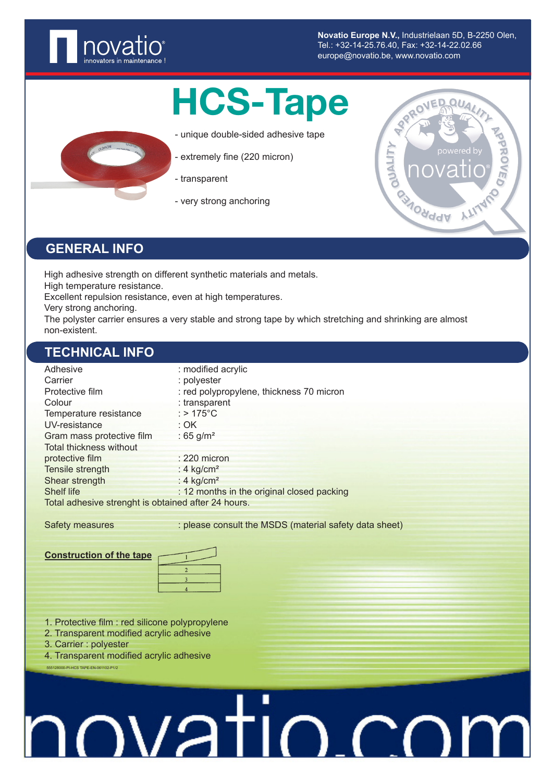

**Novatio Europe N.V.,** Industrielaan 5D, B-2250 Olen, Tel.: +32-14-25.76.40, Fax: +32-14-22.02.66 europe@novatio.be, www.novatio.com

## HCS-Tape

- unique double-sided adhesive tape
- extremely fine (220 micron)
- transparent
- very strong anchoring



#### **GENERAL INFO**

High adhesive strength on different synthetic materials and metals. High temperature resistance.

Excellent repulsion resistance, even at high temperatures.

Very strong anchoring.

The polyster carrier ensures a very stable and strong tape by which stretching and shrinking are almost non-existent.

#### **TECHNICAL INFO**

| Adhesive                                            | : modified acrylic                         |  |  |
|-----------------------------------------------------|--------------------------------------------|--|--|
| Carrier                                             | : polyester                                |  |  |
| Protective film                                     | : red polypropylene, thickness 70 micron   |  |  |
| Colour                                              | : transparent                              |  |  |
| Temperature resistance                              | : $>175^{\circ}$ C                         |  |  |
| UV-resistance                                       | : OK                                       |  |  |
| Gram mass protective film                           | : 65 $g/m^2$                               |  |  |
| Total thickness without                             |                                            |  |  |
| protective film                                     | $: 220$ micron                             |  |  |
| Tensile strength                                    | : 4 $kg/cm2$                               |  |  |
| Shear strength                                      | : $4 \text{ kg/cm}^2$                      |  |  |
| <b>Shelf life</b>                                   | : 12 months in the original closed packing |  |  |
| Total adhesive strenght is obtained after 24 hours. |                                            |  |  |

Safety measures : please consult the MSDS (material safety data sheet)

#### **Construction of the tape**

| <sup>2</sup> |  |
|--------------|--|
|              |  |
|              |  |

- 1. Protective film : red silicone polypropylene
- 2. Transparent modified acrylic adhesive
- 3. Carrier : polyester

555128000-PI-HCS TAPE-EN-061102-P1/2

4. Transparent modified acrylic adhesive